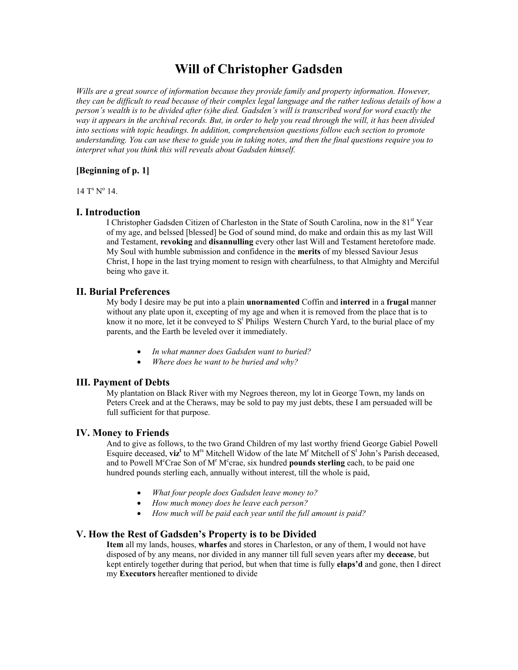# **Will of Christopher Gadsden**

*Wills are a great source of information because they provide family and property information. However, they can be difficult to read because of their complex legal language and the rather tedious details of how a person's wealth is to be divided after (s)he died. Gadsden's will is transcribed word for word exactly the way it appears in the archival records. But, in order to help you read through the will, it has been divided into sections with topic headings. In addition, comprehension questions follow each section to promote understanding. You can use these to guide you in taking notes, and then the final questions require you to interpret what you think this will reveals about Gadsden himself.*

# **[Beginning of p. 1]**

 $14 T<sup>s</sup> N<sup>o</sup> 14.$ 

#### **I. Introduction**

I Christopher Gadsden Citizen of Charleston in the State of South Carolina, now in the 81st Year of my age, and belssed [blessed] be God of sound mind, do make and ordain this as my last Will and Testament, **revoking** and **disannulling** every other last Will and Testament heretofore made. My Soul with humble submission and confidence in the **merits** of my blessed Saviour Jesus Christ, I hope in the last trying moment to resign with chearfulness, to that Almighty and Merciful being who gave it.

## **II. Burial Preferences**

My body I desire may be put into a plain **unornamented** Coffin and **interred** in a **frugal** manner without any plate upon it, excepting of my age and when it is removed from the place that is to know it no more, let it be conveyed to  $S<sup>t</sup>$  Philips Western Church Yard, to the burial place of my parents, and the Earth be leveled over it immediately.

- · *In what manner does Gadsden want to buried?*
- · *Where does he want to be buried and why?*

# **III. Payment of Debts**

My plantation on Black River with my Negroes thereon, my lot in George Town, my lands on Peters Creek and at the Cheraws, may be sold to pay my just debts, these I am persuaded will be full sufficient for that purpose.

#### **IV. Money to Friends**

And to give as follows, to the two Grand Children of my last worthy friend George Gabiel Powell Esquire deceased,  $\boldsymbol{viz}^t$  to  $M^s$  Mitchell Widow of the late  $M^t$  Mitchell of  $S^t$  John's Parish deceased, and to Powell M<sup>c</sup>Crae Son of M<sup>r</sup> M<sup>c</sup>crae, six hundred **pounds sterling** each, to be paid one hundred pounds sterling each, annually without interest, till the whole is paid,

- · *What four people does Gadsden leave money to?*
- · *How much money does he leave each person?*
- · *How much will be paid each year until the full amount is paid?*

# **V. How the Rest of Gadsden's Property is to be Divided**

**Item** all my lands, houses, **wharfes** and stores in Charleston, or any of them, I would not have disposed of by any means, nor divided in any manner till full seven years after my **decease**, but kept entirely together during that period, but when that time is fully **elaps'd** and gone, then I direct my **Executors** hereafter mentioned to divide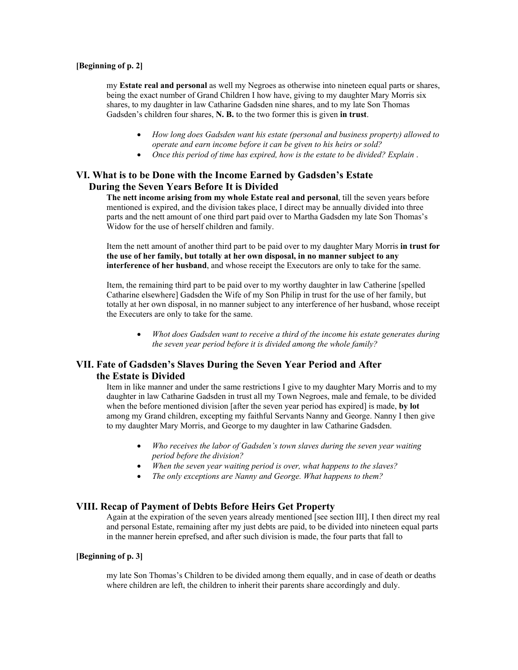#### **[Beginning of p. 2]**

my **Estate real and personal** as well my Negroes as otherwise into nineteen equal parts or shares, being the exact number of Grand Children I how have, giving to my daughter Mary Morris six shares, to my daughter in law Catharine Gadsden nine shares, and to my late Son Thomas Gadsden's children four shares, **N. B.** to the two former this is given **in trust**.

- · *How long does Gadsden want his estate (personal and business property) allowed to operate and earn income before it can be given to his heirs or sold?*
- · *Once this period of time has expired, how is the estate to be divided? Explain* .

# **VI. What is to be Done with the Income Earned by Gadsden's Estate During the Seven Years Before It is Divided**

**The nett income arising from my whole Estate real and personal**, till the seven years before mentioned is expired, and the division takes place, I direct may be annually divided into three parts and the nett amount of one third part paid over to Martha Gadsden my late Son Thomas's Widow for the use of herself children and family.

Item the nett amount of another third part to be paid over to my daughter Mary Morris **in trust for the use of her family, but totally at her own disposal, in no manner subject to any interference of her husband**, and whose receipt the Executors are only to take for the same.

Item, the remaining third part to be paid over to my worthy daughter in law Catherine [spelled Catharine elsewhere] Gadsden the Wife of my Son Philip in trust for the use of her family, but totally at her own disposal, in no manner subject to any interference of her husband, whose receipt the Executers are only to take for the same.

· *Whot does Gadsden want to receive a third of the income his estate generates during the seven year period before it is divided among the whole family?*

# **VII. Fate of Gadsden's Slaves During the Seven Year Period and After the Estate is Divided**

Item in like manner and under the same restrictions I give to my daughter Mary Morris and to my daughter in law Catharine Gadsden in trust all my Town Negroes, male and female, to be divided when the before mentioned division [after the seven year period has expired] is made, **by lot** among my Grand children, excepting my faithful Servants Nanny and George. Nanny I then give to my daughter Mary Morris, and George to my daughter in law Catharine Gadsden.

- · *Who receives the labor of Gadsden's town slaves during the seven year waiting period before the division?*
- · *When the seven year waiting period is over, what happens to the slaves?*
- · *The only exceptions are Nanny and George. What happens to them?*

# **VIII. Recap of Payment of Debts Before Heirs Get Property**

Again at the expiration of the seven years already mentioned [see section III], I then direct my real and personal Estate, remaining after my just debts are paid, to be divided into nineteen equal parts in the manner herein eprefsed, and after such division is made, the four parts that fall to

#### **[Beginning of p. 3]**

my late Son Thomas's Children to be divided among them equally, and in case of death or deaths where children are left, the children to inherit their parents share accordingly and duly.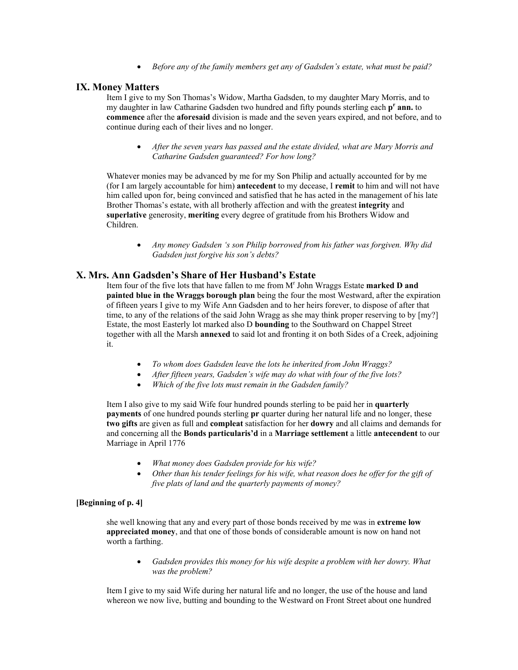· *Before any of the family members get any of Gadsden's estate, what must be paid?*

#### **IX. Money Matters**

Item I give to my Son Thomas's Widow, Martha Gadsden, to my daughter Mary Morris, and to my daughter in law Catharine Gadsden two hundred and fifty pounds sterling each **p**<sup>r</sup> ann. to **commence** after the **aforesaid** division is made and the seven years expired, and not before, and to continue during each of their lives and no longer.

· *After the seven years has passed and the estate divided, what are Mary Morris and Catharine Gadsden guaranteed? For how long?*

Whatever monies may be advanced by me for my Son Philip and actually accounted for by me (for I am largely accountable for him) **antecedent** to my decease, I **remit** to him and will not have him called upon for, being convinced and satisfied that he has acted in the management of his late Brother Thomas's estate, with all brotherly affection and with the greatest **integrity** and **superlative** generosity, **meriting** every degree of gratitude from his Brothers Widow and Children.

· *Any money Gadsden 's son Philip borrowed from his father was forgiven. Why did Gadsden just forgive his son's debts?*

# **X. Mrs. Ann Gadsden's Share of Her Husband's Estate**

Item four of the five lots that have fallen to me from M<sup>r</sup> John Wraggs Estate **marked D and painted blue in the Wraggs borough plan** being the four the most Westward, after the expiration of fifteen years I give to my Wife Ann Gadsden and to her heirs forever, to dispose of after that time, to any of the relations of the said John Wragg as she may think proper reserving to by [my?] Estate, the most Easterly lot marked also D **bounding** to the Southward on Chappel Street together with all the Marsh **annexed** to said lot and fronting it on both Sides of a Creek, adjoining it.

- · *To whom does Gadsden leave the lots he inherited from John Wraggs?*
- · *After fifteen years, Gadsden's wife may do what with four of the five lots?*
- · *Which of the five lots must remain in the Gadsden family?*

Item I also give to my said Wife four hundred pounds sterling to be paid her in **quarterly payments** of one hundred pounds sterling **pr** quarter during her natural life and no longer, these **two gifts** are given as full and **compleat** satisfaction for her **dowry** and all claims and demands for and concerning all the **Bonds particularis'd** in a**Marriage settlement** a little **antecendent** to our Marriage in April 1776

- · *What money does Gadsden provide for his wife?*
- *Other than his tender feelings for his wife, what reason does he offer for the gift of five plats of land and the quarterly payments of money?*

### **[Beginning of p. 4]**

she well knowing that any and every part of those bonds received by me was in **extreme low appreciated money**, and that one of those bonds of considerable amount is now on hand not worth a farthing.

Gadsden provides this money for his wife despite a problem with her dowry. What *was the problem?*

Item I give to my said Wife during her natural life and no longer, the use of the house and land whereon we now live, butting and bounding to the Westward on Front Street about one hundred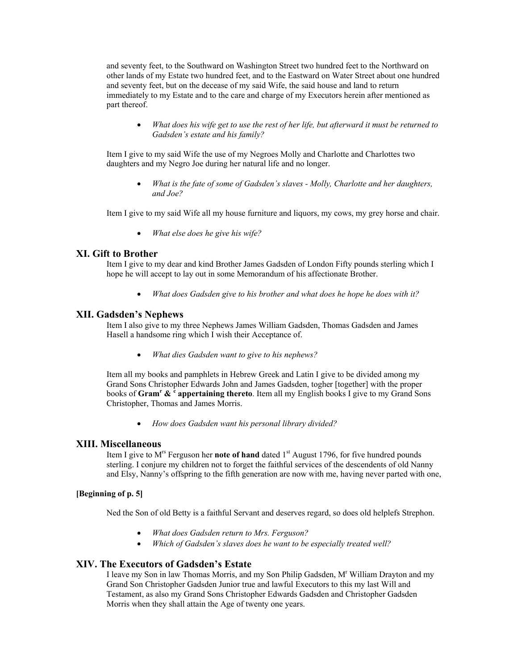and seventy feet, to the Southward on Washington Street two hundred feet to the Northward on other lands of my Estate two hundred feet, and to the Eastward on Water Street about one hundred and seventy feet, but on the decease of my said Wife, the said house and land to return immediately to my Estate and to the care and charge of my Executors herein after mentioned as part thereof.

· *What does his wife get to use the rest of her life, but afterward it must be returned to Gadsden's estate and his family?*

Item I give to my said Wife the use of my Negroes Molly and Charlotte and Charlottes two daughters and my Negro Joe during her natural life and no longer.

What is the fate of some of Gadsden's slaves - Molly, Charlotte and her daughters, *and Joe?*

Item I give to my said Wife all my house furniture and liquors, my cows, my grey horse and chair.

· *What else does he give his wife?*

#### **XI. Gift to Brother**

Item I give to my dear and kind Brother James Gadsden of London Fifty pounds sterling which I hope he will accept to lay out in some Memorandum of his affectionate Brother.

· *What does Gadsden give to his brother and what does he hope he does with it?*

#### **XII. Gadsden's Nephews**

Item I also give to my three Nephews James William Gadsden, Thomas Gadsden and James Hasell a handsome ring which I wish their Acceptance of.

· *What dies Gadsden want to give to his nephews?*

Item all my books and pamphlets in Hebrew Greek and Latin I give to be divided among my Grand Sons Christopher Edwards John and James Gadsden, togher [together] with the proper books of **Gram <sup>r</sup>& <sup>c</sup>appertaining thereto**. Item all my English books I give to my Grand Sons Christopher, Thomas and James Morris.

· *How does Gadsden want his personal library divided?*

#### **XIII. Miscellaneous**

Item I give to M<sup>rs</sup> Ferguson her **note of hand** dated 1<sup>st</sup> August 1796, for five hundred pounds sterling. I conjure my children not to forget the faithful services of the descendents of old Nanny and Elsy, Nanny's offspring to the fifth generation are now with me, having never parted with one,

## **[Beginning of p. 5]**

Ned the Son of old Betty is a faithful Servant and deserves regard, so does old helplefs Strephon.

- · *What does Gadsden return to Mrs. Ferguson?*
- · *Which of Gadsden's slaves does he want to be especially treated well?*

# **XIV. The Executors of Gadsden's Estate**

I leave my Son in law Thomas Morris, and my Son Philip Gadsden, M<sup>r</sup> William Drayton and my Grand Son Christopher Gadsden Junior true and lawful Executors to this my last Will and Testament, as also my Grand Sons Christopher Edwards Gadsden and Christopher Gadsden Morris when they shall attain the Age of twenty one years.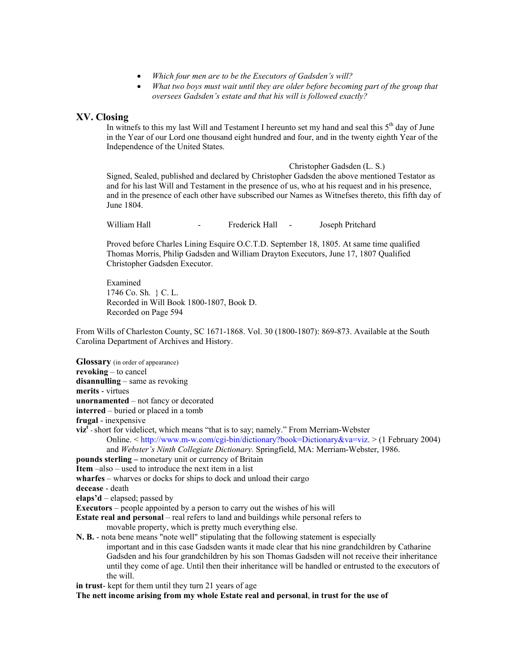- · *Which four men are to be the Executors of Gadsden's will?*
- · *What two boys must wait until they are older before becoming part of the group that oversees Gadsden's estate and that his will is followed exactly?*

## **XV. Closing**

In witnefs to this my last Will and Testament I hereunto set my hand and seal this  $5<sup>th</sup>$  day of June in the Year of our Lord one thousand eight hundred and four, and in the twenty eighth Year of the Independence of the United States.

Christopher Gadsden (L. S.) Signed, Sealed, published and declared by Christopher Gadsden the above mentioned Testator as and for his last Will and Testament in the presence of us, who at his request and in his presence, and in the presence of each other have subscribed our Names as Witnefses thereto, this fifth day of June 1804.

William Hall **Calcularist Experience Hall Calcularist Green** Joseph Pritchard

Proved before Charles Lining Esquire O.C.T.D. September 18, 1805. At same time qualified Thomas Morris, Philip Gadsden and William Drayton Executors, June 17, 1807 Qualified Christopher Gadsden Executor.

Examined 1746 Co. Sh. } C. L. Recorded in Will Book 1800-1807, Book D. Recorded on Page 594

From Wills of Charleston County, SC 1671-1868. Vol. 30 (1800-1807): 869-873. Available at the South Carolina Department of Archives and History.

**Glossary** (in order of appearance) **revoking** – to cancel **disannulling** – same as revoking **merits** - virtues **unornamented** – not fancy or decorated **interred** – buried or placed in a tomb **frugal** - inexpensive  $\boldsymbol{\mathrm{viz}}^t$  - short for videlicet, which means "that is to say; namely." From Merriam-Webster Online. < [http://www.mw.com/cgibin/dictionary?book=Dictionary&va=viz.](http://www.m-w.com/cgi-bin/dictionary?book=Dictionary&va=viz) > (1 February 2004) and *Webster's Ninth Collegiate Dictionary*. Springfield, MA: Merriam-Webster, 1986. **pounds sterling –** monetary unit or currency of Britain **Item** –also – used to introduce the next item in a list **wharfes** – wharves or docks for ships to dock and unload their cargo decease - death **elaps'd** – elapsed; passed by **Executors** – people appointed by a person to carry out the wishes of his will **Estate real and personal** – real refers to land and buildings while personal refers to movable property, which is pretty much everything else. **N. B.** - nota bene means "note well" stipulating that the following statement is especially important and in this case Gadsden wants it made clear that his nine grandchildren by Catharine Gadsden and his four grandchildren by his son Thomas Gadsden will not receive their inheritance until they come of age. Until then their inheritance will be handled or entrusted to the executors of the will. **in trust**- kept for them until they turn 21 years of age **The nett income arising from my whole Estate real and personal**, **in trust for the use of**